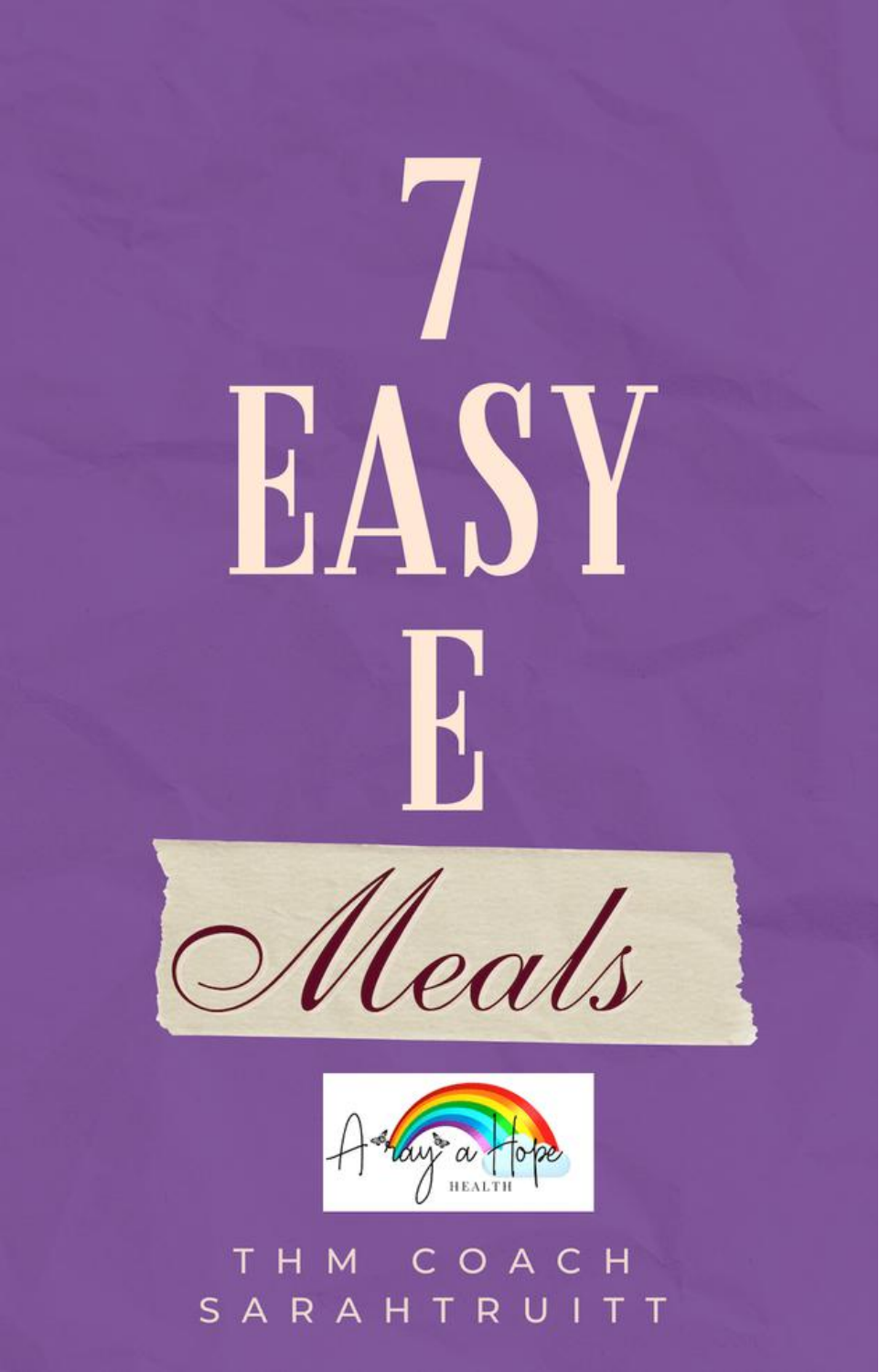

THM COACH SARAHTRUITT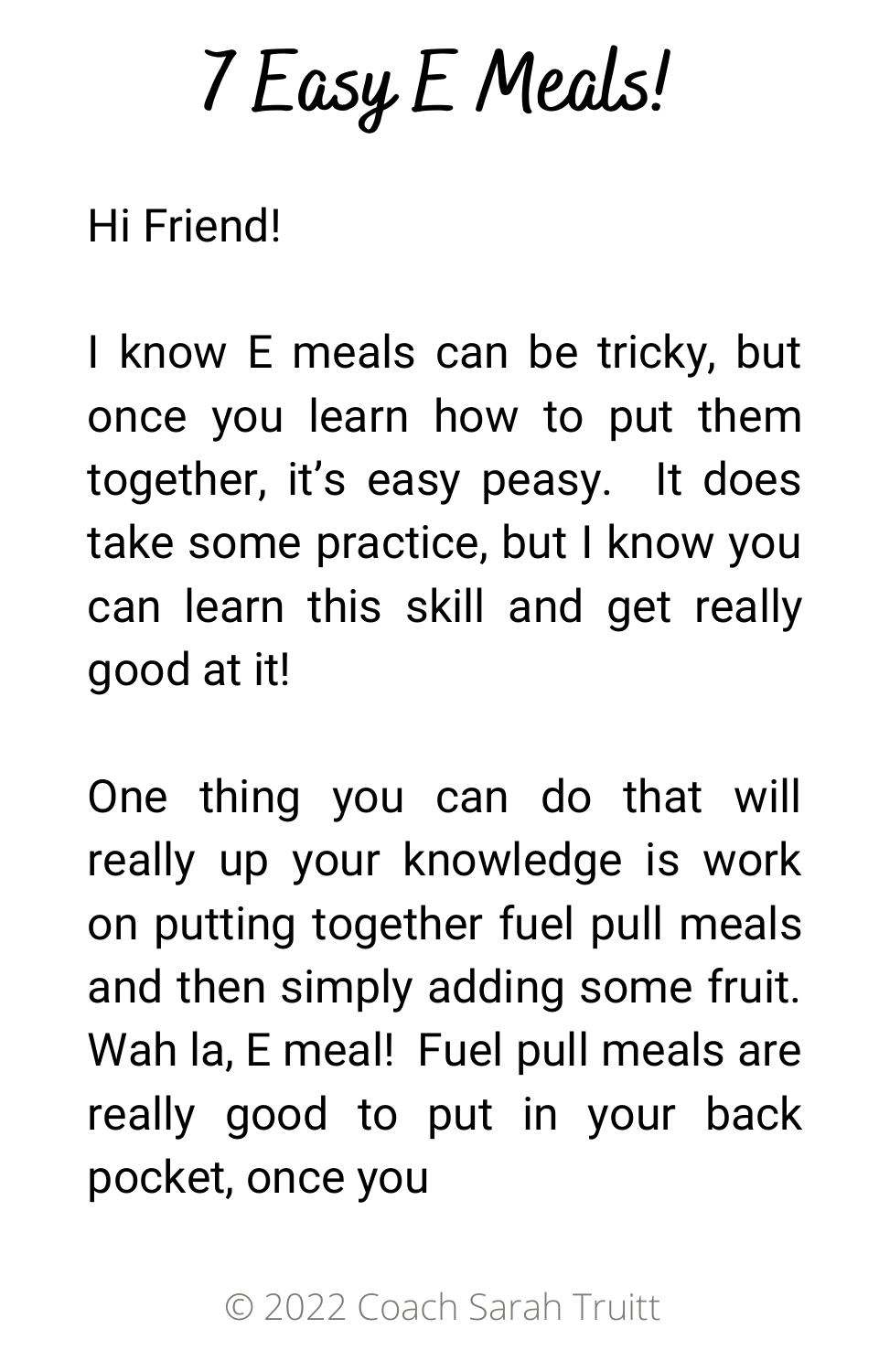**7 Easy E Meals!**

Hi Friend!

I know E meals can be tricky, but once you learn how to put them together, it's easy peasy. It does take some practice, but I know you can learn this skill and get really good at it!

One thing you can do that will really up your knowledge is work on putting together fuel pull meals and then simply adding some fruit. Wah la, E meal! Fuel pull meals are really good to put in your back pocket, once you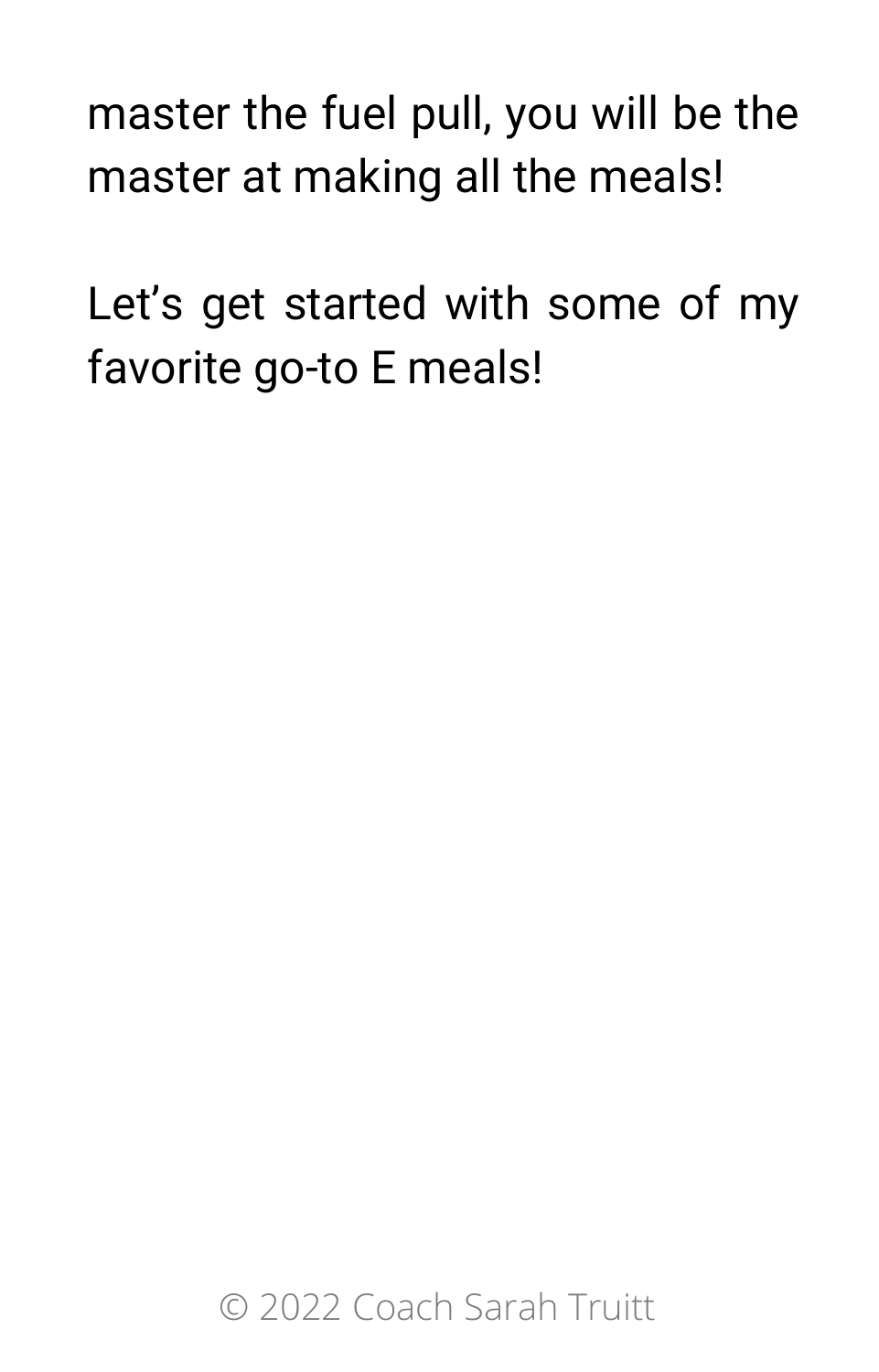### master the fuel pull, you will be the master at making all the meals!

Let's get started with some of my favorite go-to E meals!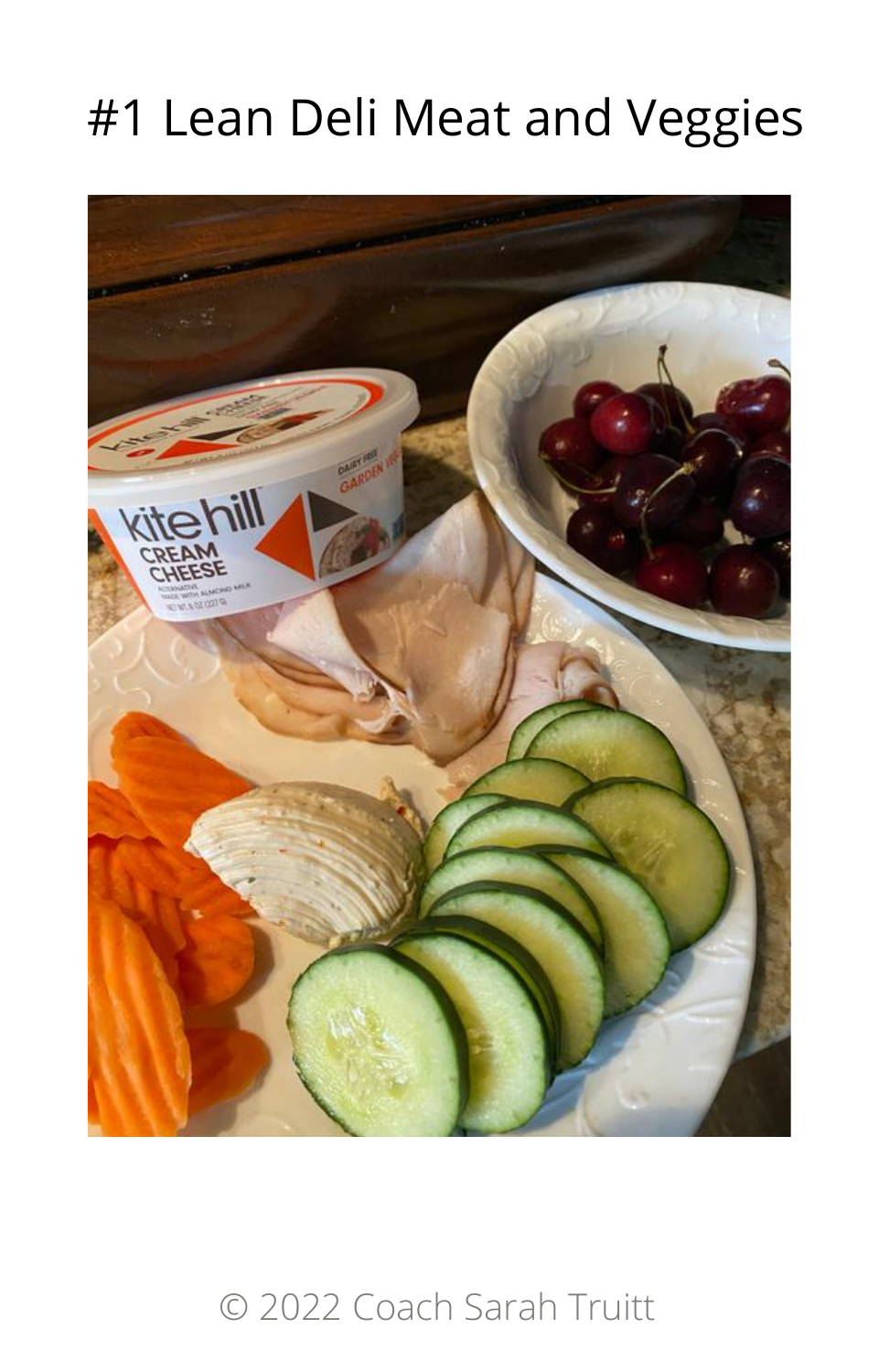### #1 Lean Deli Meat and Veggies

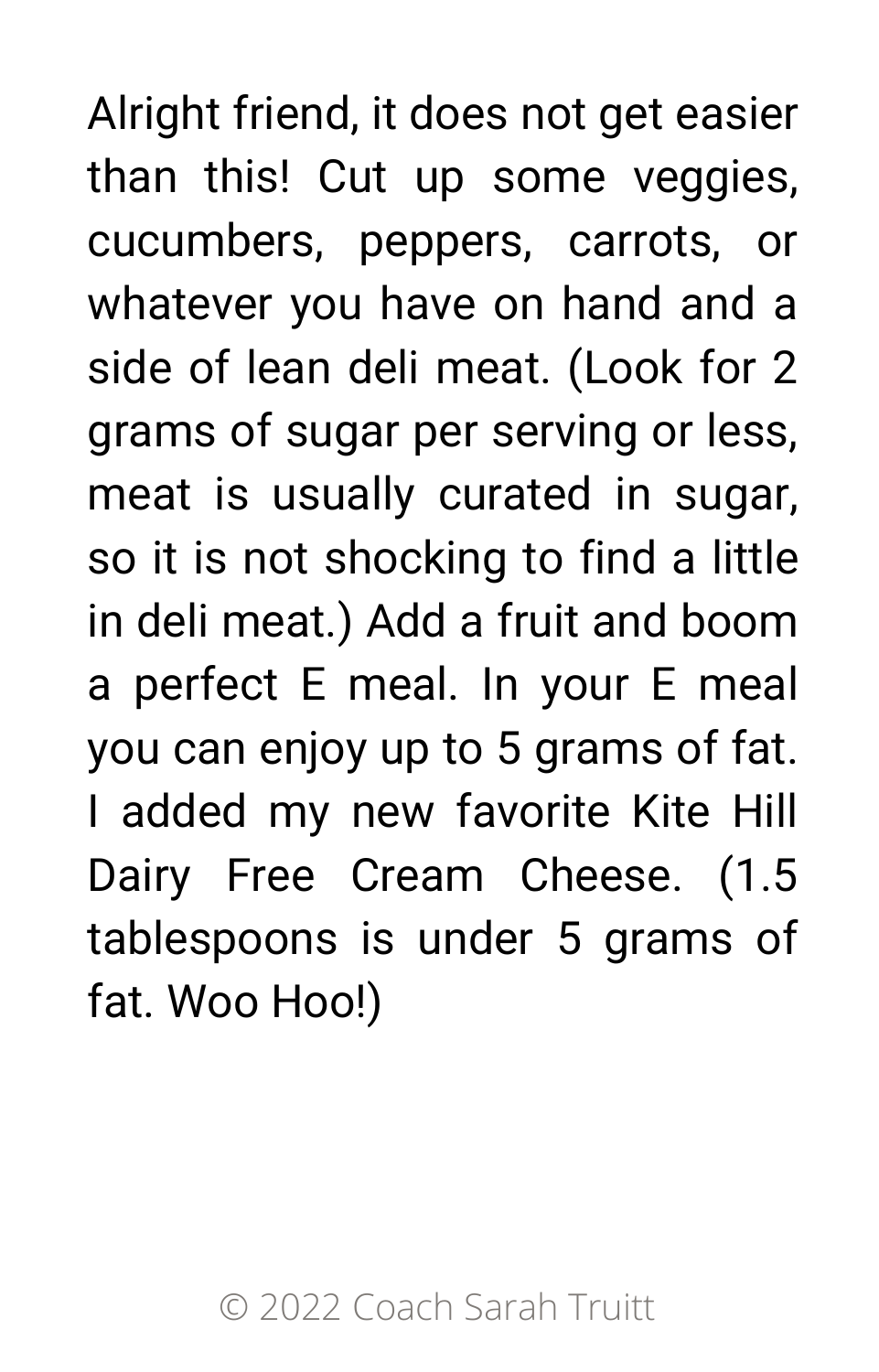Alright friend, it does not get easier than this! Cut up some veggies, cucumbers, peppers, carrots, or whatever you have on hand and a side of lean deli meat. (Look for 2 grams of sugar per serving or less, meat is usually curated in sugar, so it is not shocking to find a little in deli meat.) Add a fruit and boom a perfect E meal. In your E meal you can enjoy up to 5 grams of fat. I added my new favorite Kite Hill Dairy Free Cream Cheese. (1.5 tablespoons is under 5 grams of fat. Woo Hoo!)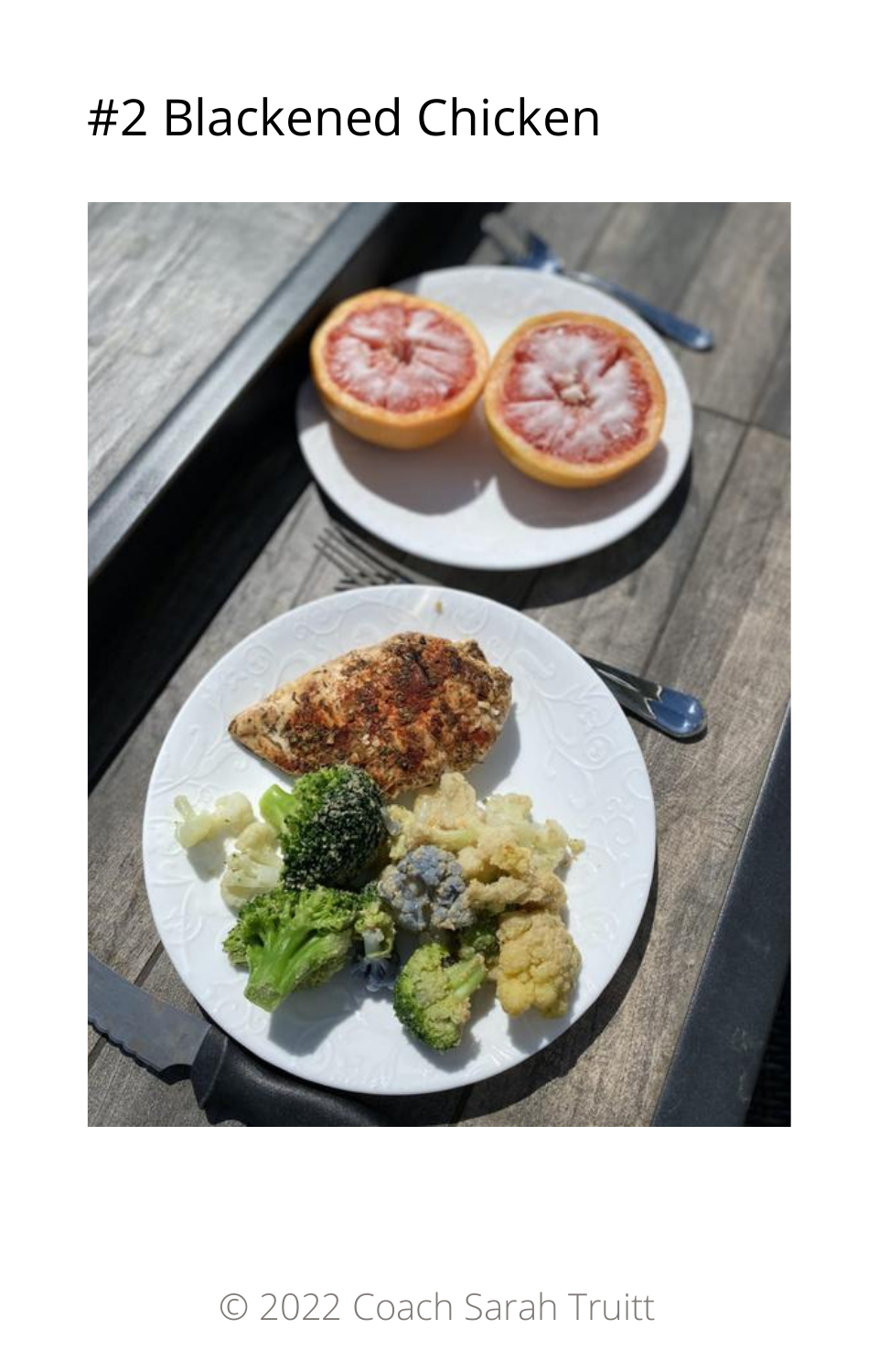### #2 Blackened Chicken

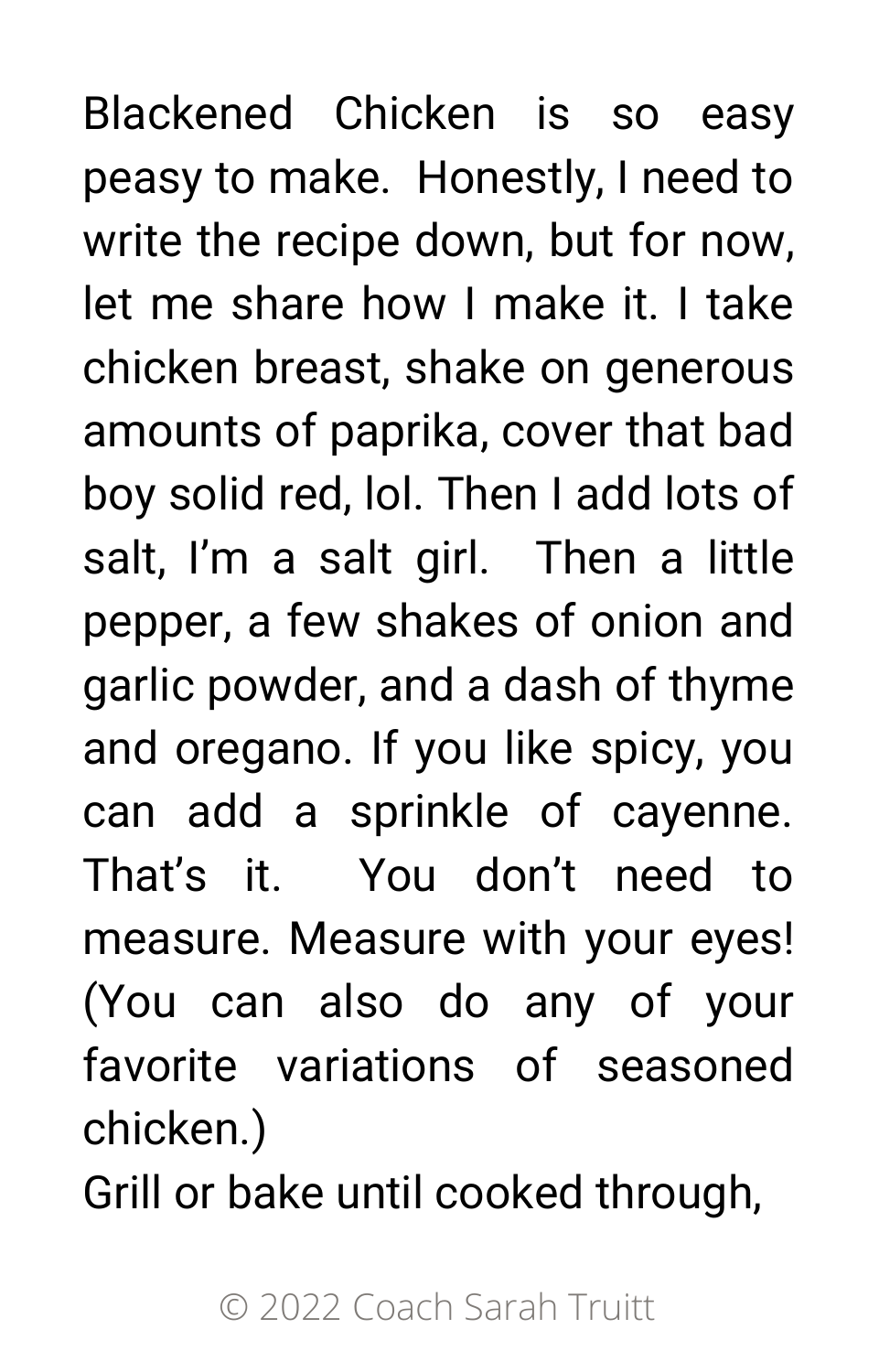Blackened Chicken is so easy peasy to make. Honestly, I need to write the recipe down, but for now, let me share how I make it. I take chicken breast, shake on generous amounts of paprika, cover that bad boy solid red, lol. Then I add lots of salt, I'm a salt girl. Then a little pepper, a few shakes of onion and garlic powder, and a dash of thyme and oregano. If you like spicy, you can add a sprinkle of cayenne. That's it. You don't need to measure. Measure with your eyes! (You can also do any of your favorite variations of seasoned chicken.)

Grill or bake until cooked through,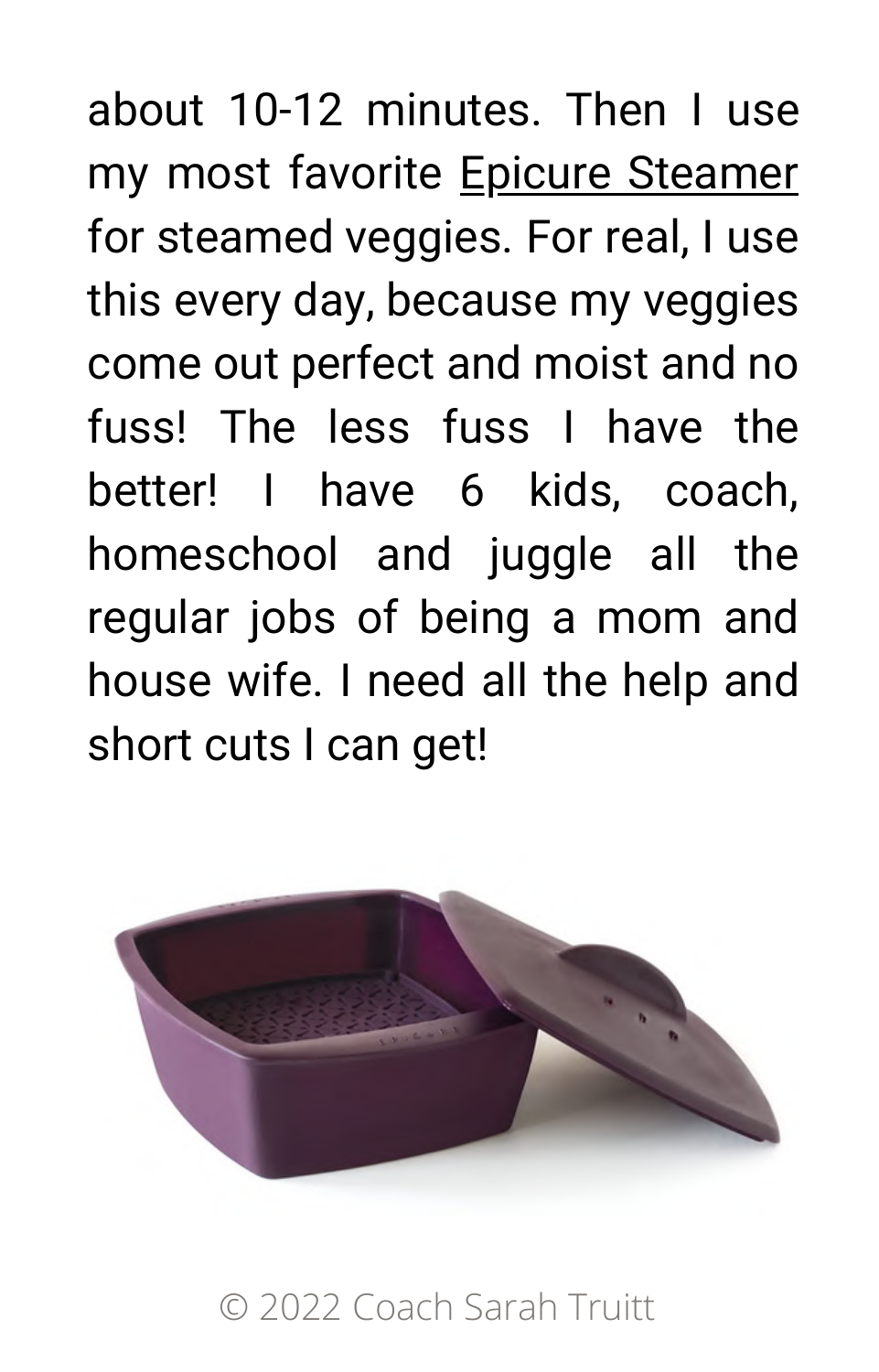about 10-12 minutes. Then I use my most favorite **Epicure [Steamer](https://sarahtruitt.epicure.com/en-us/product/multipurpose-steamer)** for steamed veggies. For real, I use this every day, because my veggies come out perfect and moist and no fuss! The less fuss I have the better! I have 6 kids, coach, homeschool and juggle all the regular jobs of being a mom and house wife. I need all the help and short cuts I can get!

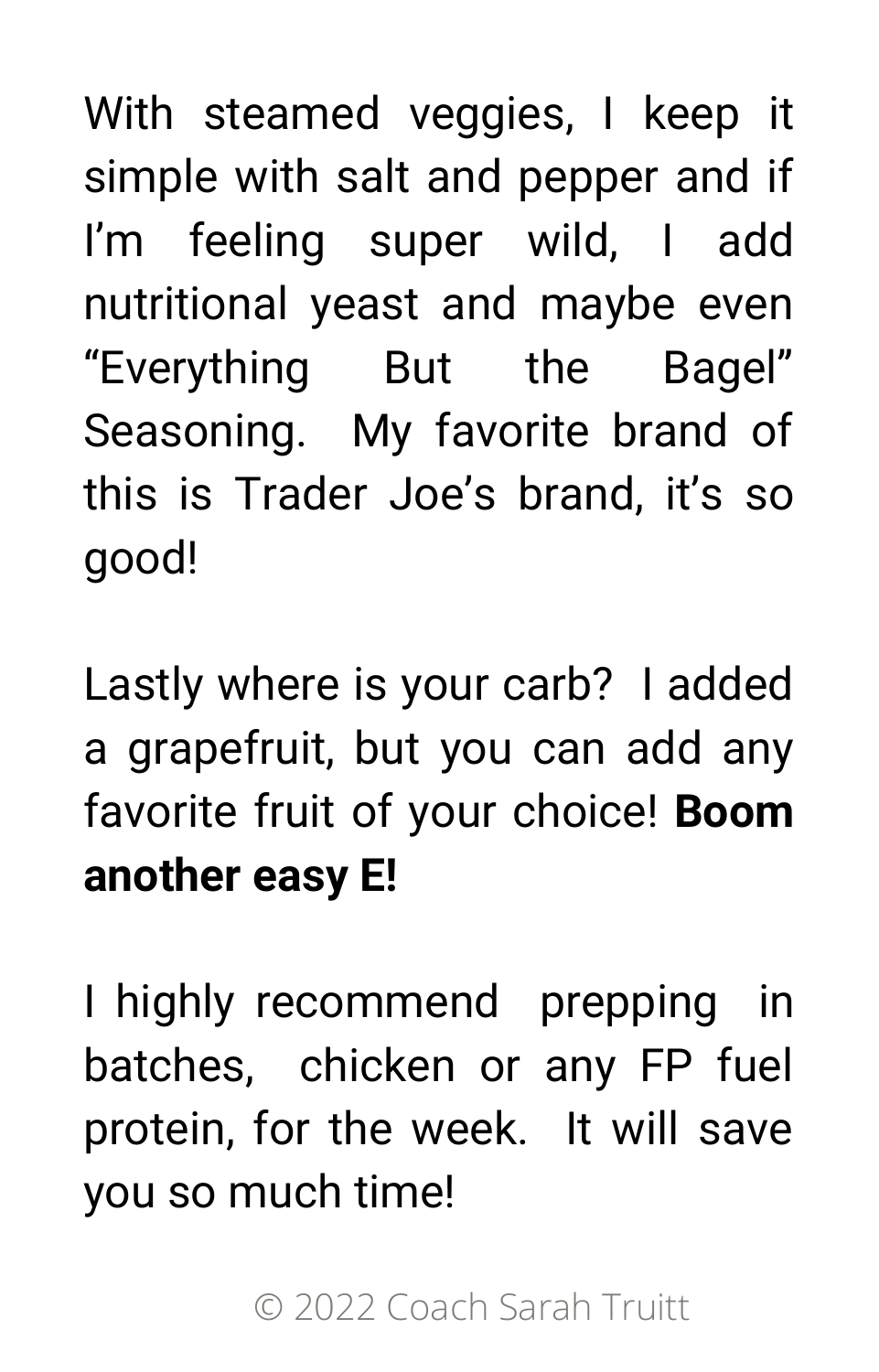With steamed veggies, I keep it simple with salt and pepper and if I'm feeling super wild, I add nutritional yeast and maybe even "Everything But the Bagel" Seasoning. My favorite brand of this is Trader Joe's brand, it's so good!

Lastly where is your carb? I added a grapefruit, but you can add any favorite fruit of your choice! **Boom another easy E!**

I highly recommend prepping in batches, chicken or any FP fuel protein, for the week. It will save you so much time!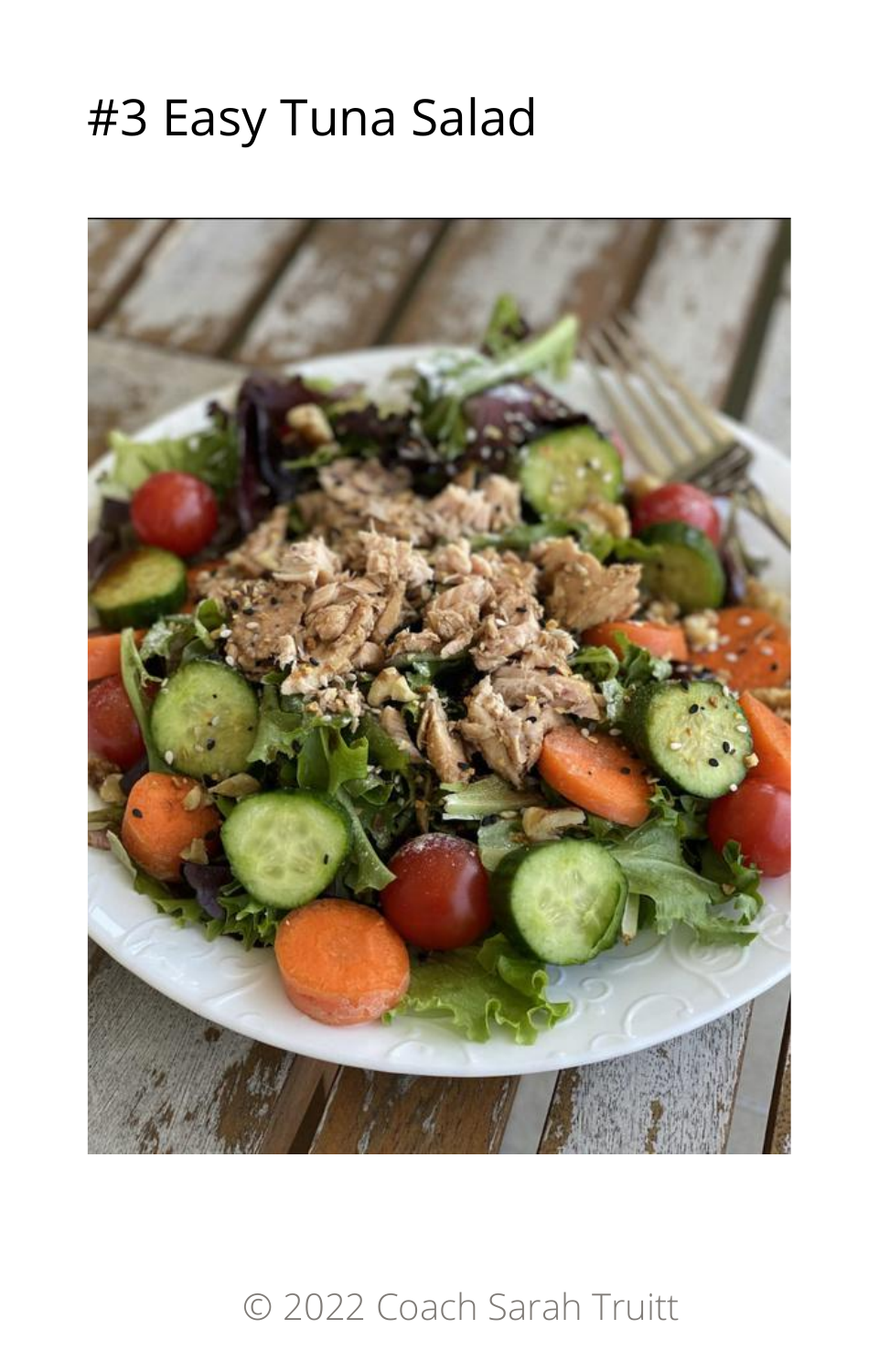# #3 Easy Tuna Salad

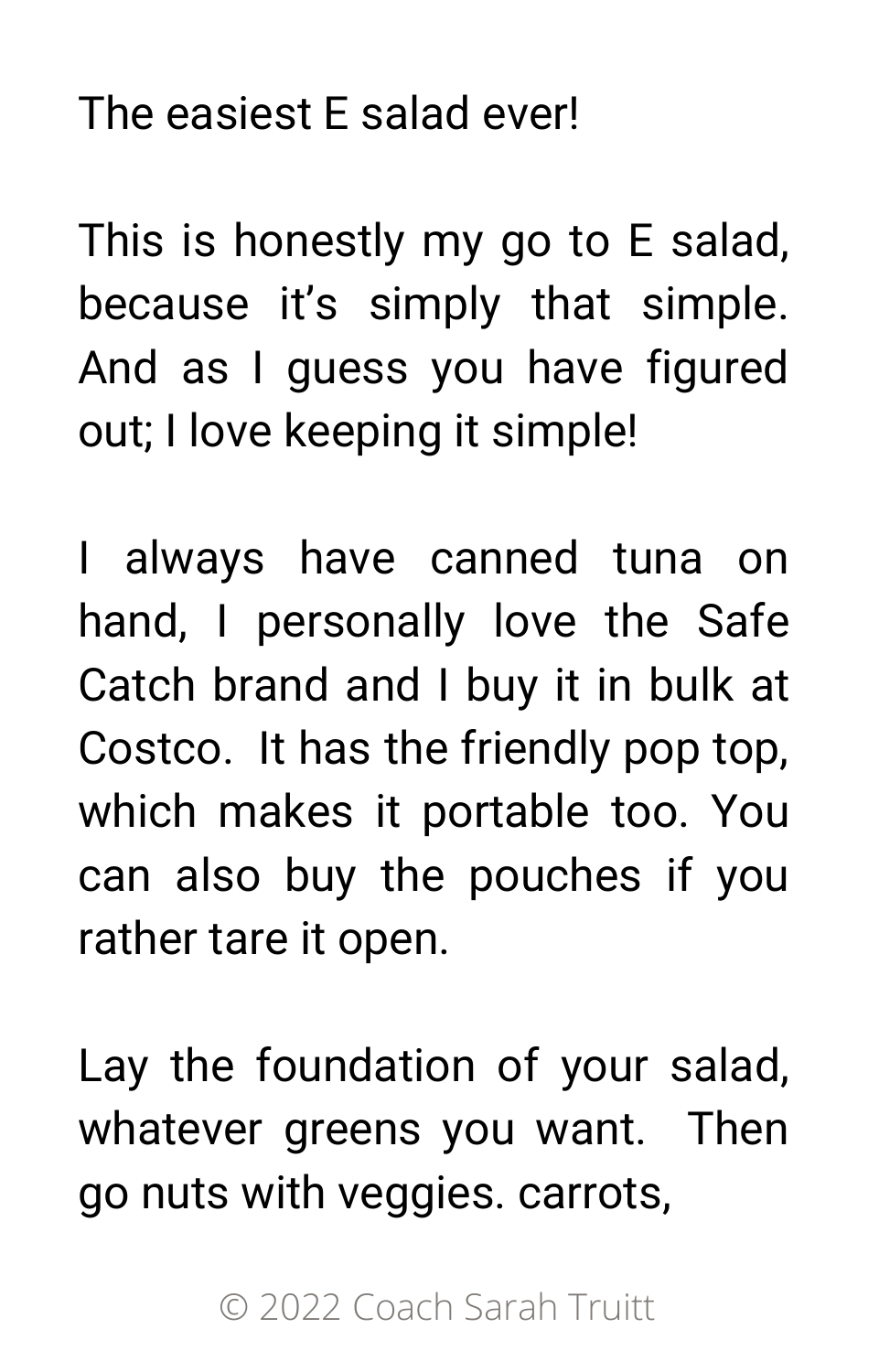The easiest E salad ever!

This is honestly my go to E salad, because it's simply that simple. And as I guess you have figured out; I love keeping it simple!

I always have canned tuna on hand, I personally love the Safe Catch brand and I buy it in bulk at Costco. It has the friendly pop top, which makes it portable too. You can also buy the pouches if you rather tare it open.

Lay the foundation of your salad, whatever greens you want. Then go nuts with veggies. carrots,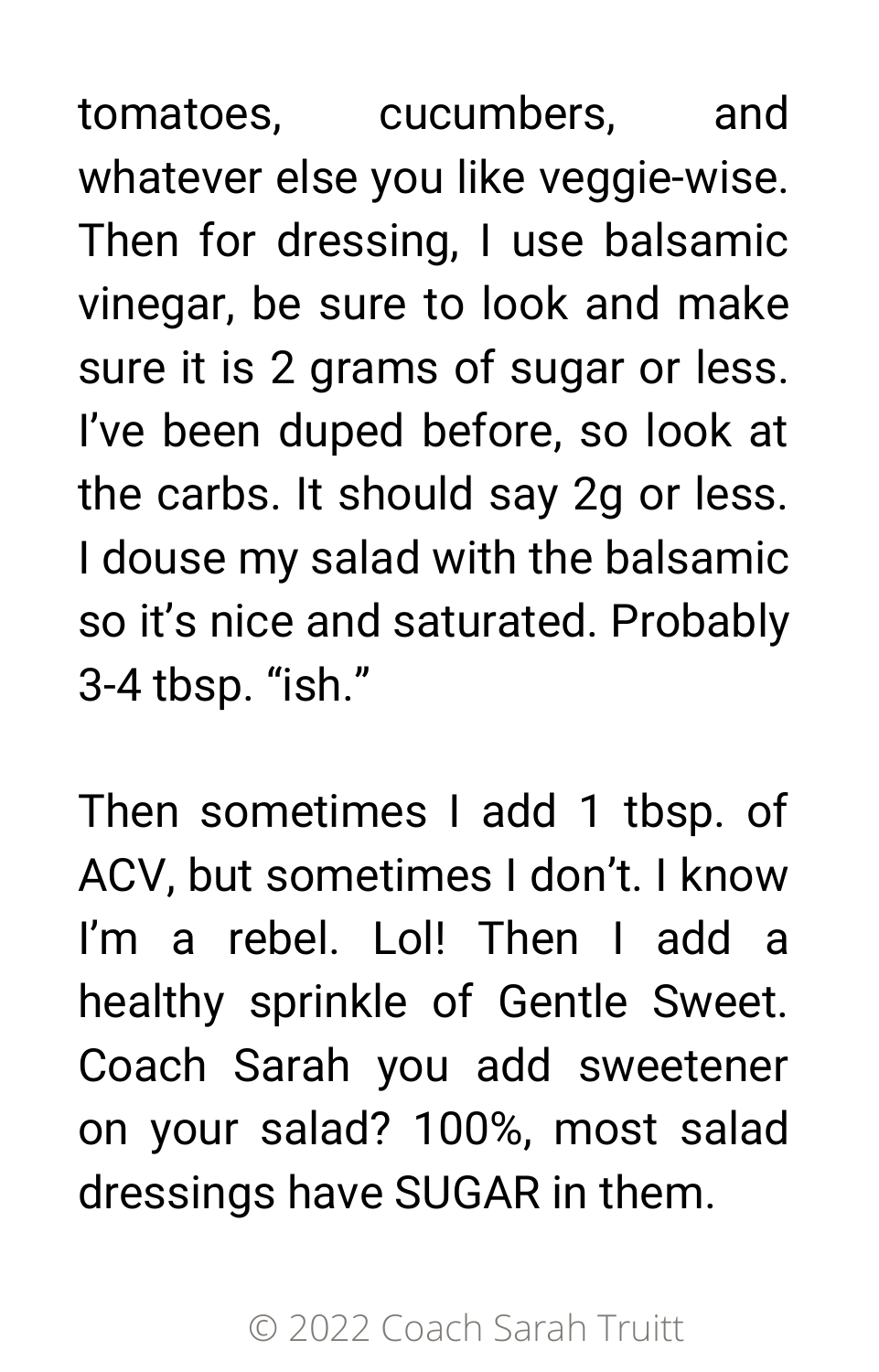tomatoes, cucumbers, and whatever else you like veggie-wise. Then for dressing, I use balsamic vinegar, be sure to look and make sure it is 2 grams of sugar or less. I've been duped before, so look at the carbs. It should say 2g or less. I douse my salad with the balsamic so it's nice and saturated. Probably 3-4 tbsp. "ish."

Then sometimes I add 1 tbsp. of ACV, but sometimes I don't. I know I'm a rebel. Lol! Then I add a healthy sprinkle of Gentle Sweet. Coach Sarah you add sweetener on your salad? 100%, most salad dressings have SUGAR in them.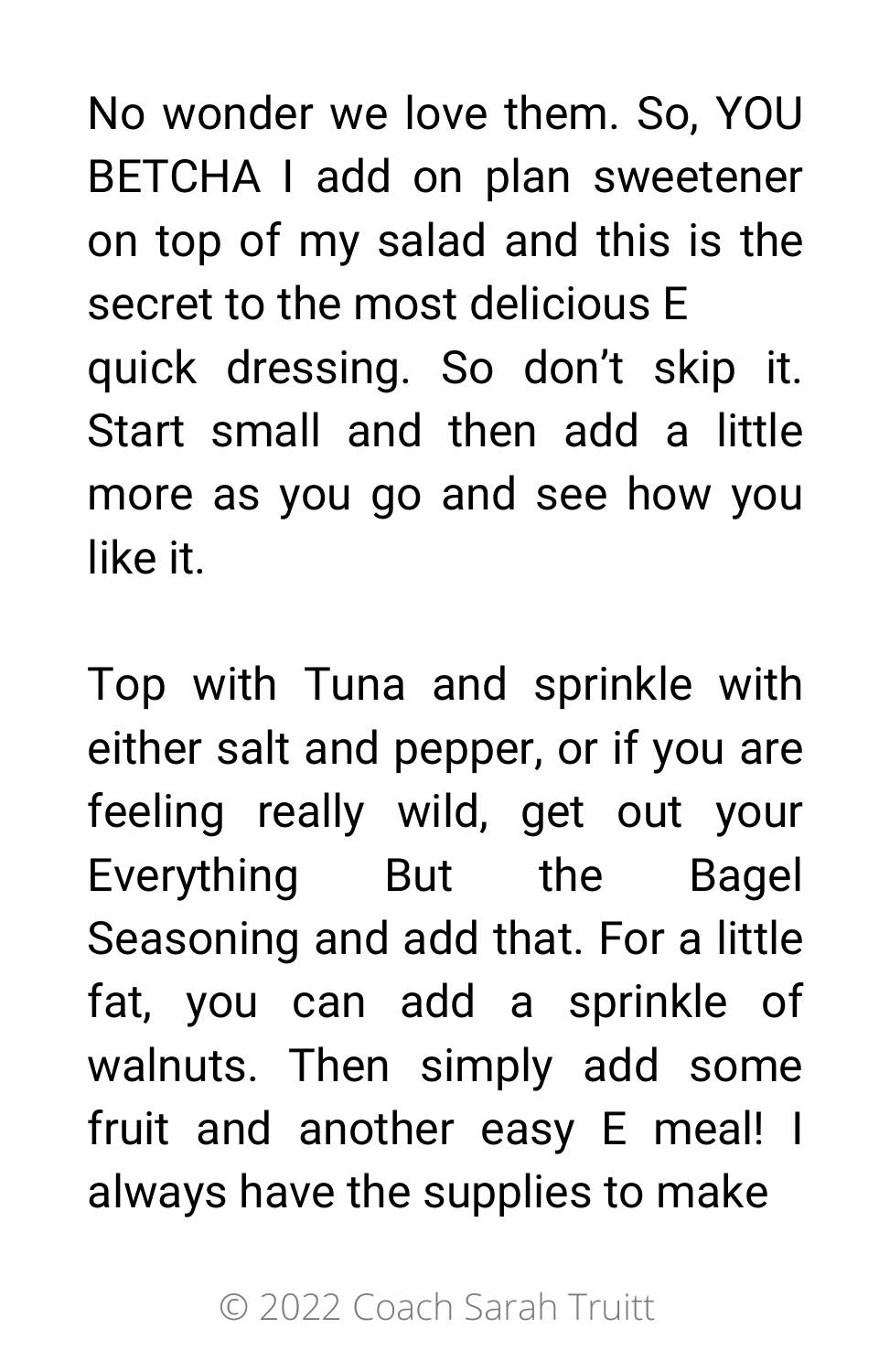No wonder we love them. So, YOU BETCHA I add on plan sweetener on top of my salad and this is the secret to the most delicious E quick dressing. So don't skip it. Start small and then add a little more as you go and see how you like it.

Top with Tuna and sprinkle with either salt and pepper, or if you are feeling really wild, get out your Everything But the Bagel Seasoning and add that. For a little fat, you can add a sprinkle of walnuts. Then simply add some fruit and another easy E meal! I always have the supplies to make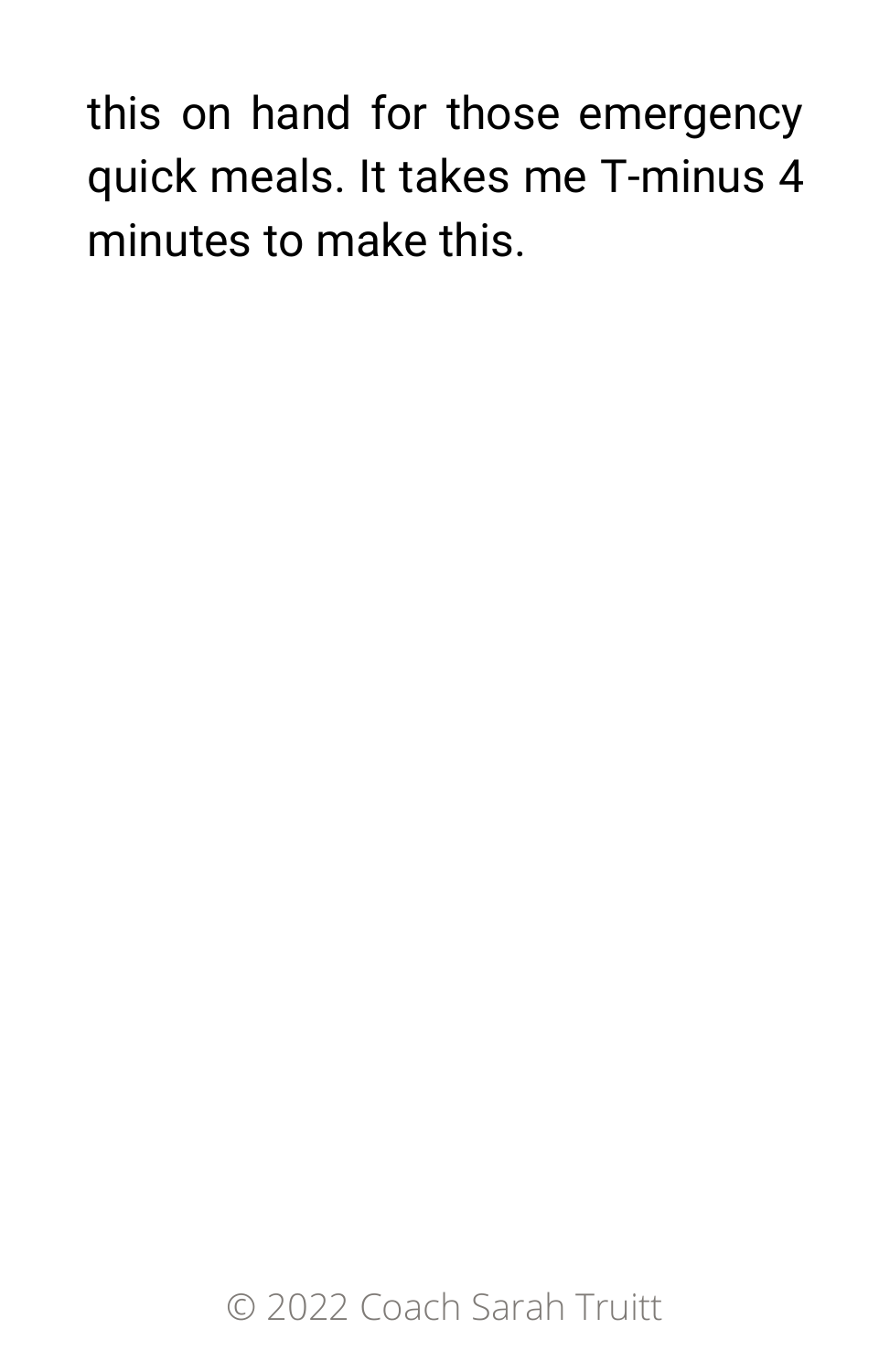this on hand for those emergency quick meals. It takes me T-minus 4 minutes to make this.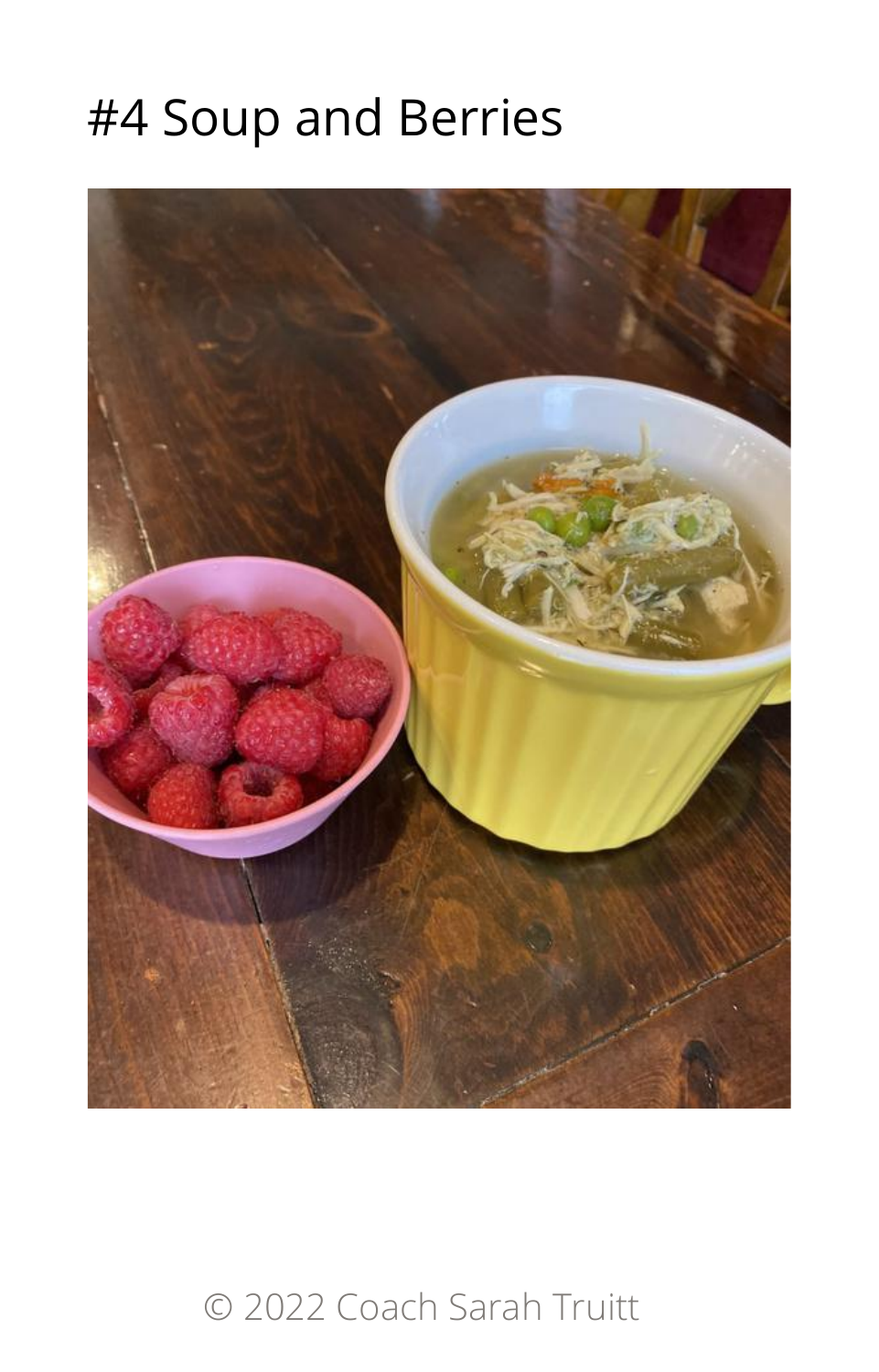### #4 Soup and Berries

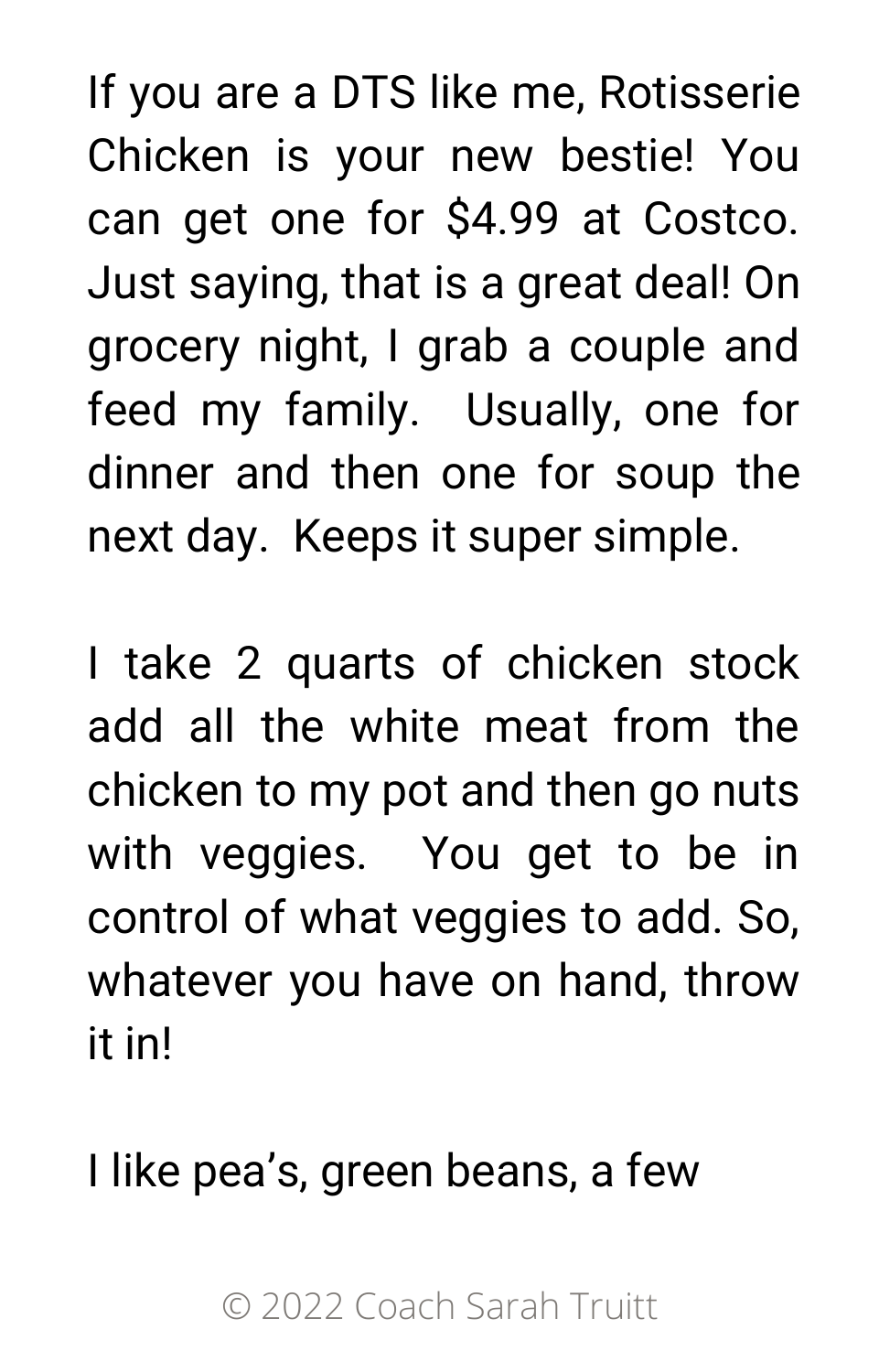If you are a DTS like me, Rotisserie Chicken is your new bestie! You can get one for \$4.99 at Costco. Just saying, that is a great deal! On grocery night, I grab a couple and feed my family. Usually, one for dinner and then one for soup the next day. Keeps it super simple.

I take 2 quarts of chicken stock add all the white meat from the chicken to my pot and then go nuts with veggies. You get to be in control of what veggies to add. So, whatever you have on hand, throw it in!

I like pea's, green beans, a few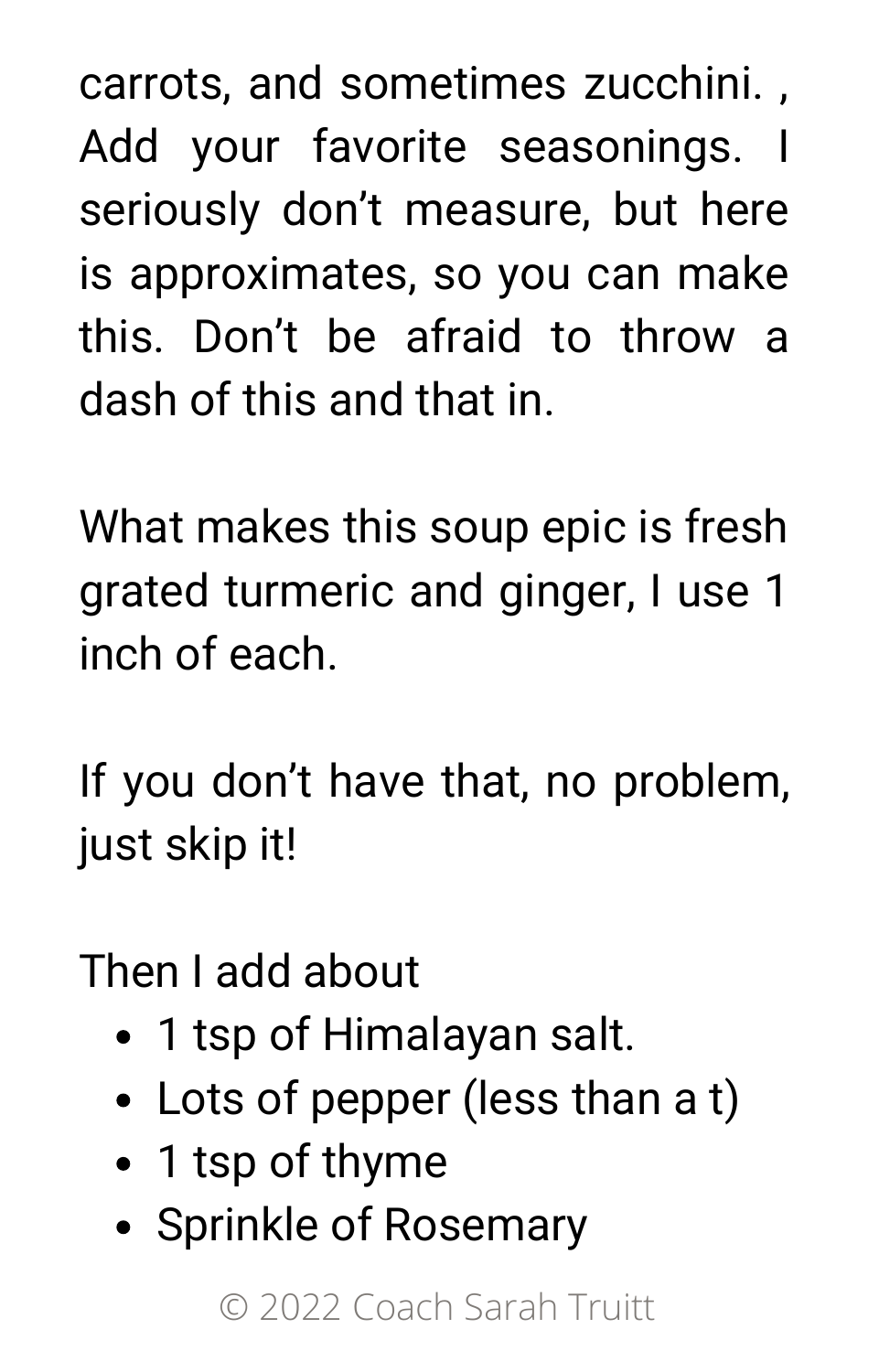carrots, and sometimes zucchini. , Add your favorite seasonings. I seriously don't measure, but here is approximates, so you can make this. Don't be afraid to throw a dash of this and that in.

What makes this soup epic is fresh grated turmeric and ginger, I use 1 inch of each.

If you don't have that, no problem, just skip it!

Then I add about

- 1 tsp of Himalayan salt.
- Lots of pepper (less than a t)
- 1 tsp of thyme
- Sprinkle of Rosemary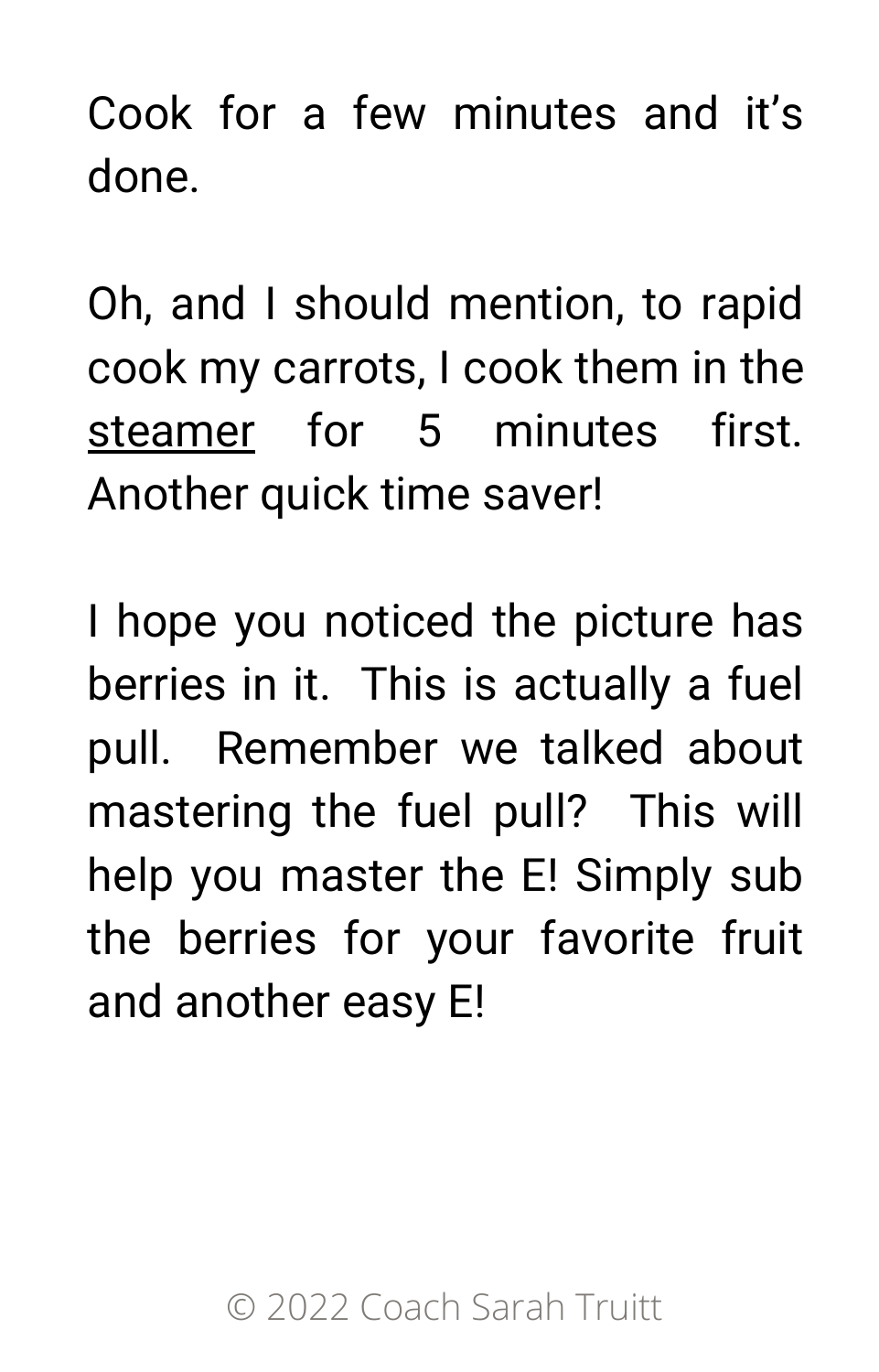Cook for a few minutes and it's done.

Oh, and I should mention, to rapid cook my carrots, I cook them in the [steamer](https://sarahtruitt.epicure.com/en-us/product/multipurpose-steamer) for 5 minutes first. Another quick time saver!

I hope you noticed the picture has berries in it. This is actually a fuel pull. Remember we talked about mastering the fuel pull? This will help you master the E! Simply sub the berries for your favorite fruit and another easy E!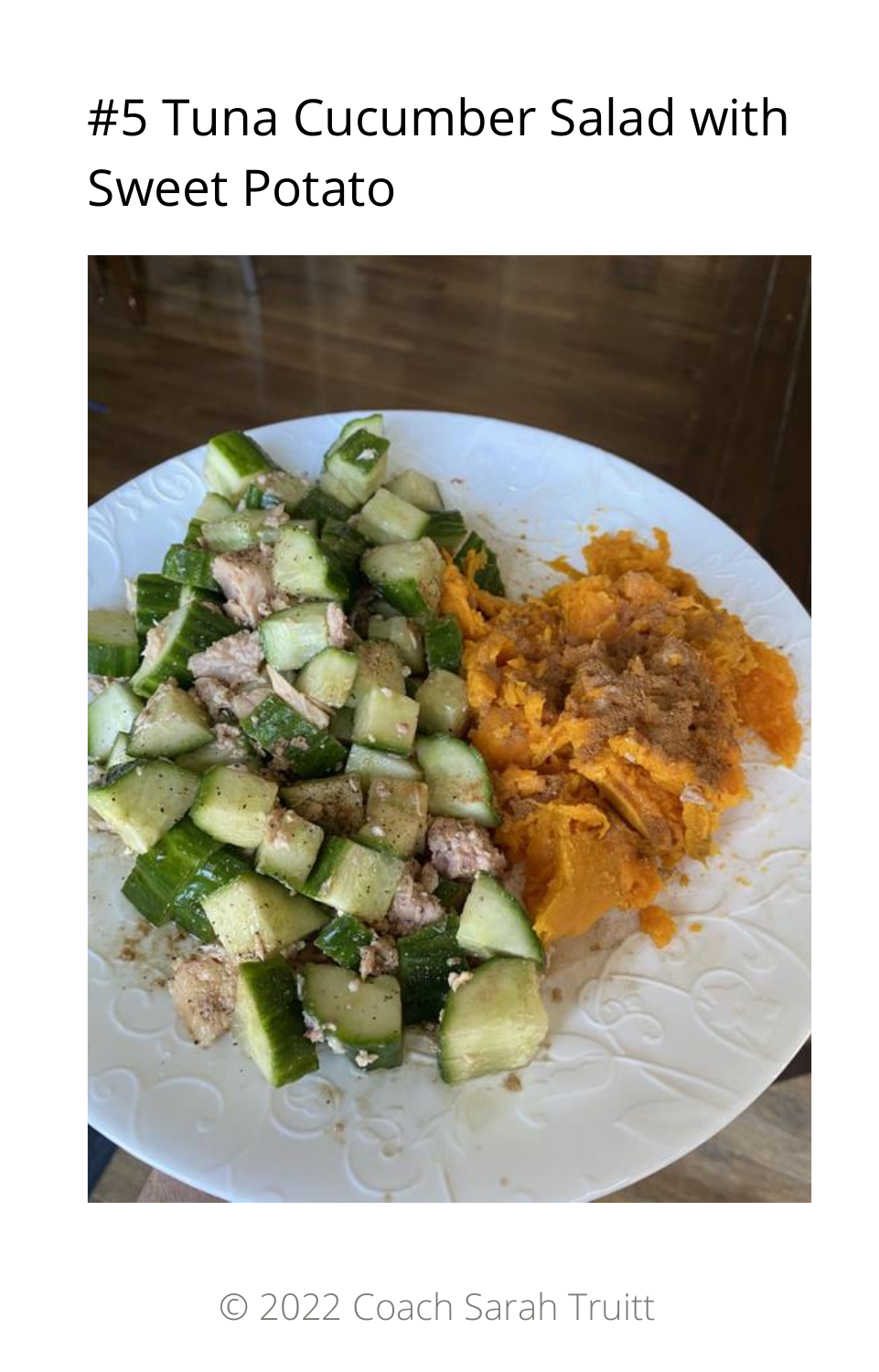# #5 Tuna Cucumber Salad with Sweet Potato

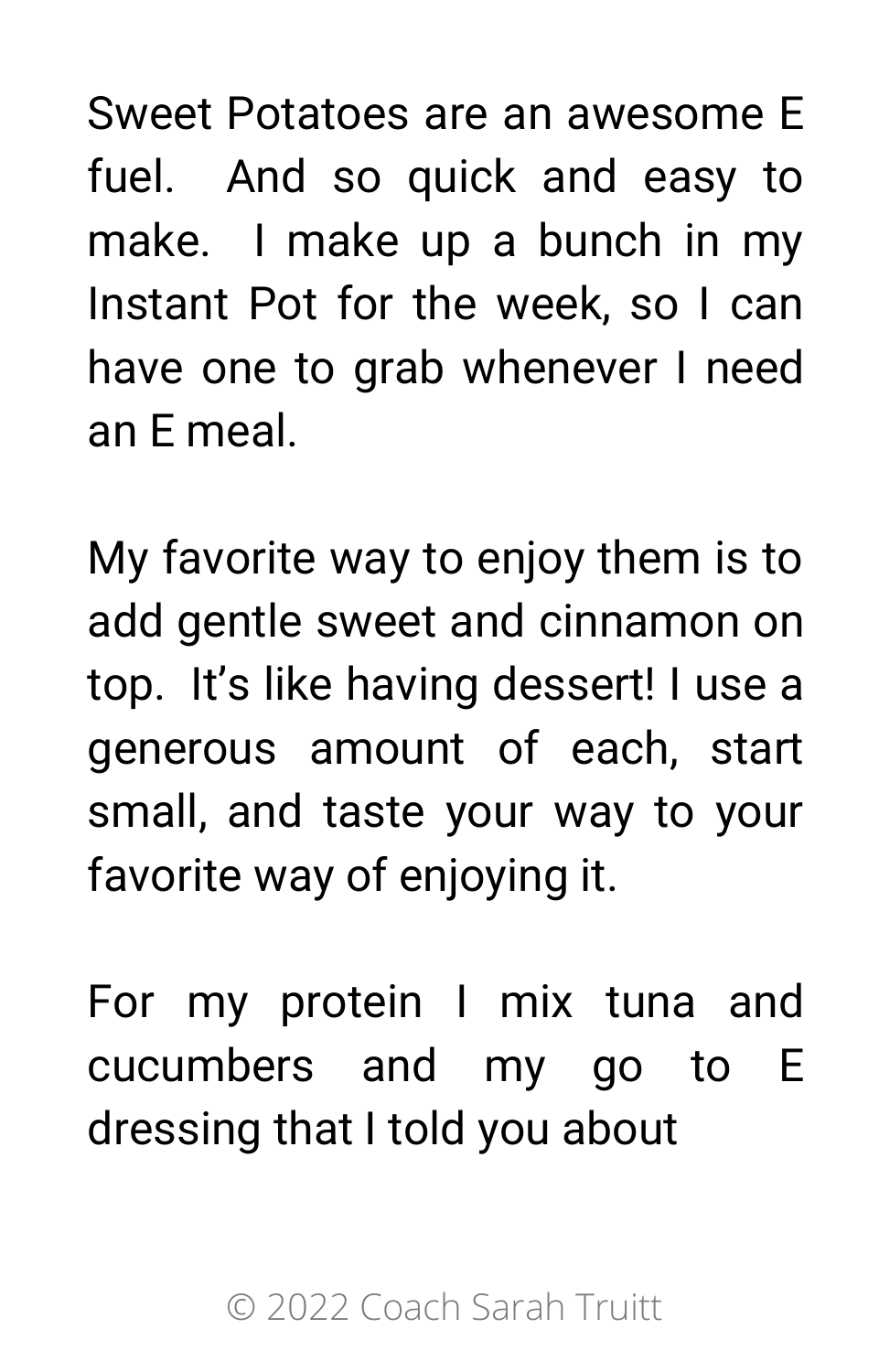Sweet Potatoes are an awesome E fuel. And so quick and easy to make. I make up a bunch in my Instant Pot for the week, so I can have one to grab whenever I need an E meal.

My favorite way to enjoy them is to add gentle sweet and cinnamon on top. It's like having dessert! I use a generous amount of each, start small, and taste your way to your favorite way of enjoying it.

For my protein I mix tuna and cucumbers and my go to E dressing that I told you about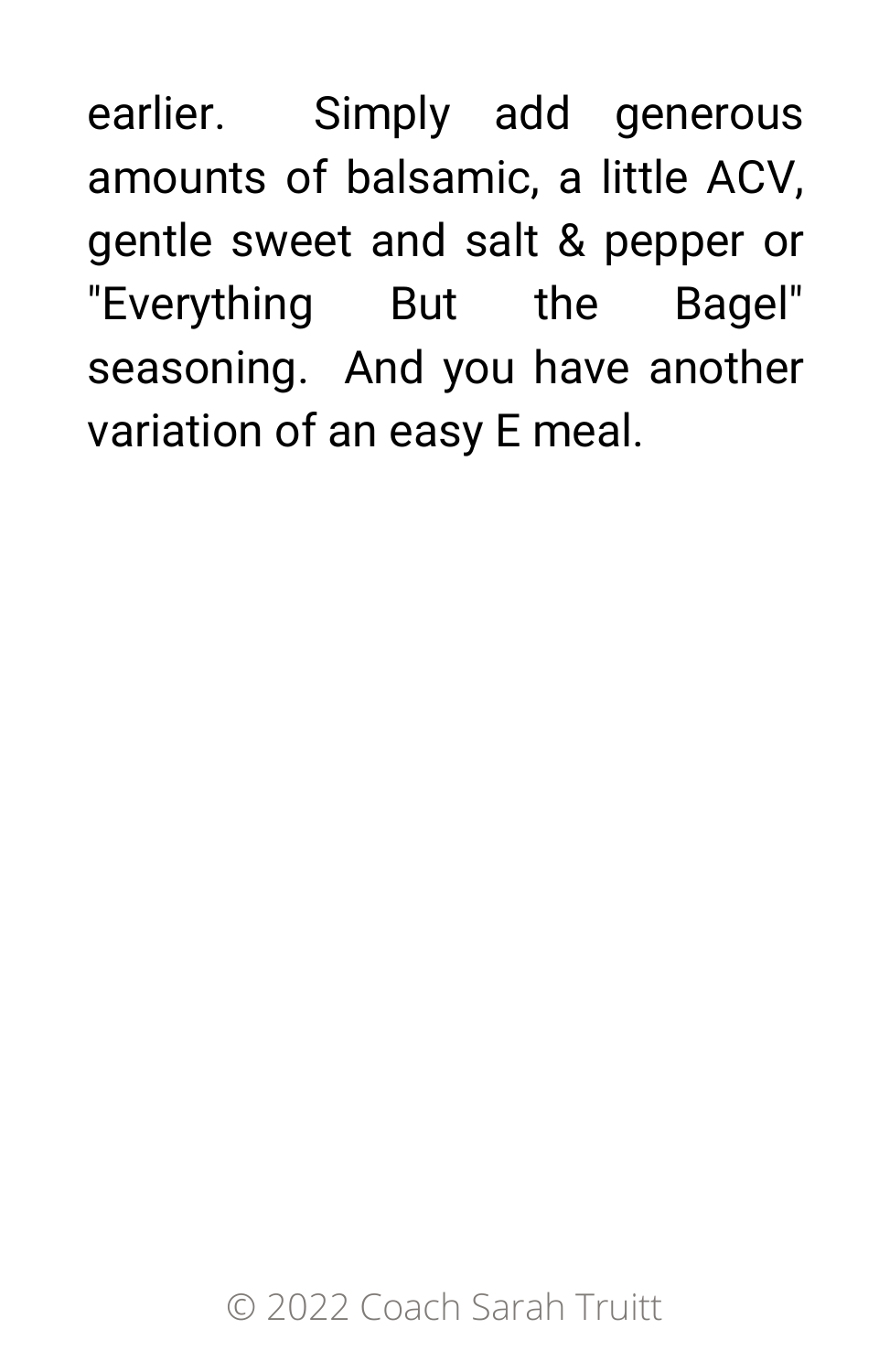earlier. Simply add generous amounts of balsamic, a little ACV, gentle sweet and salt & pepper or "Everything But the Bagel" seasoning. And you have another variation of an easy E meal.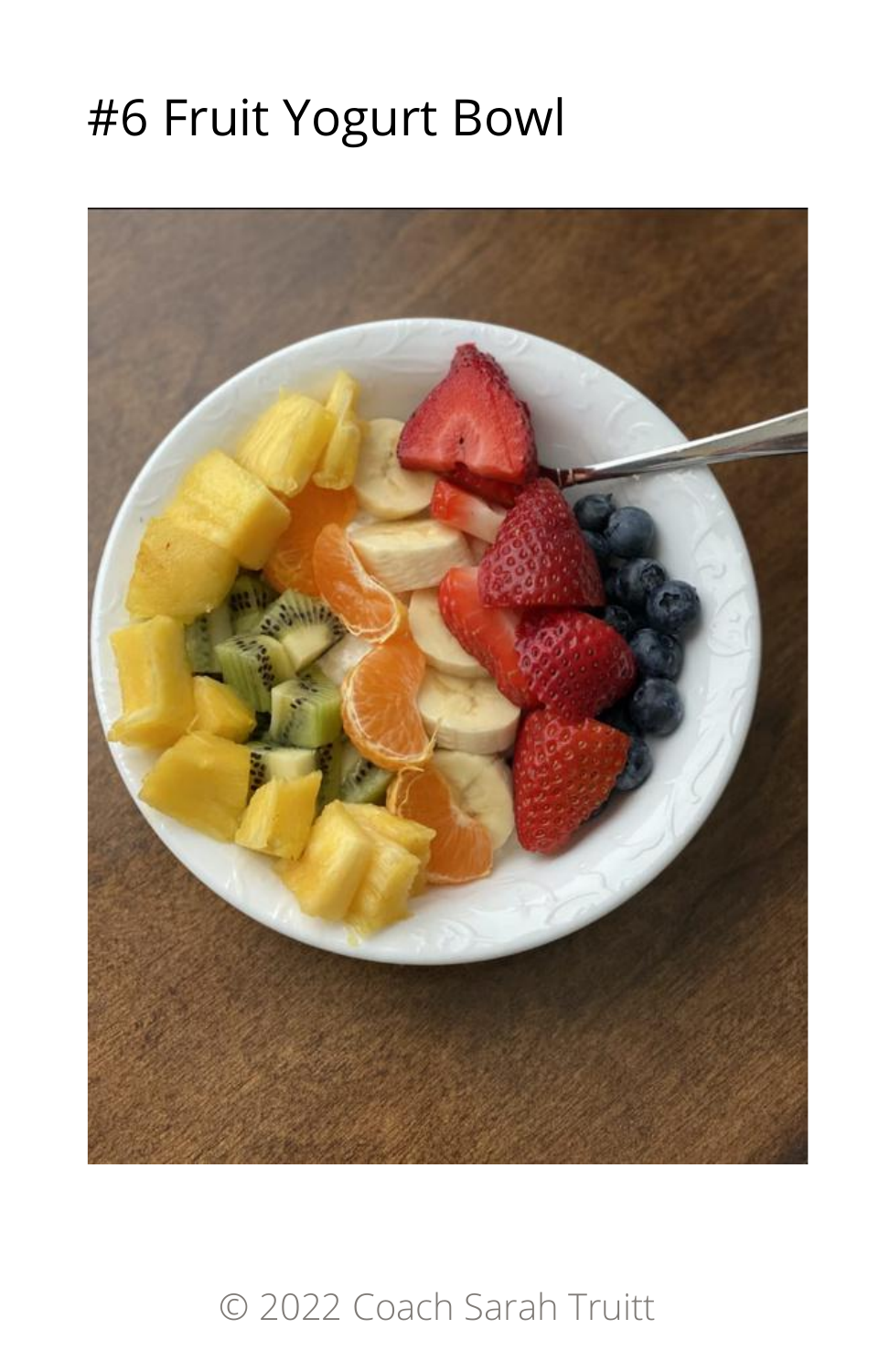# #6 Fruit Yogurt Bowl

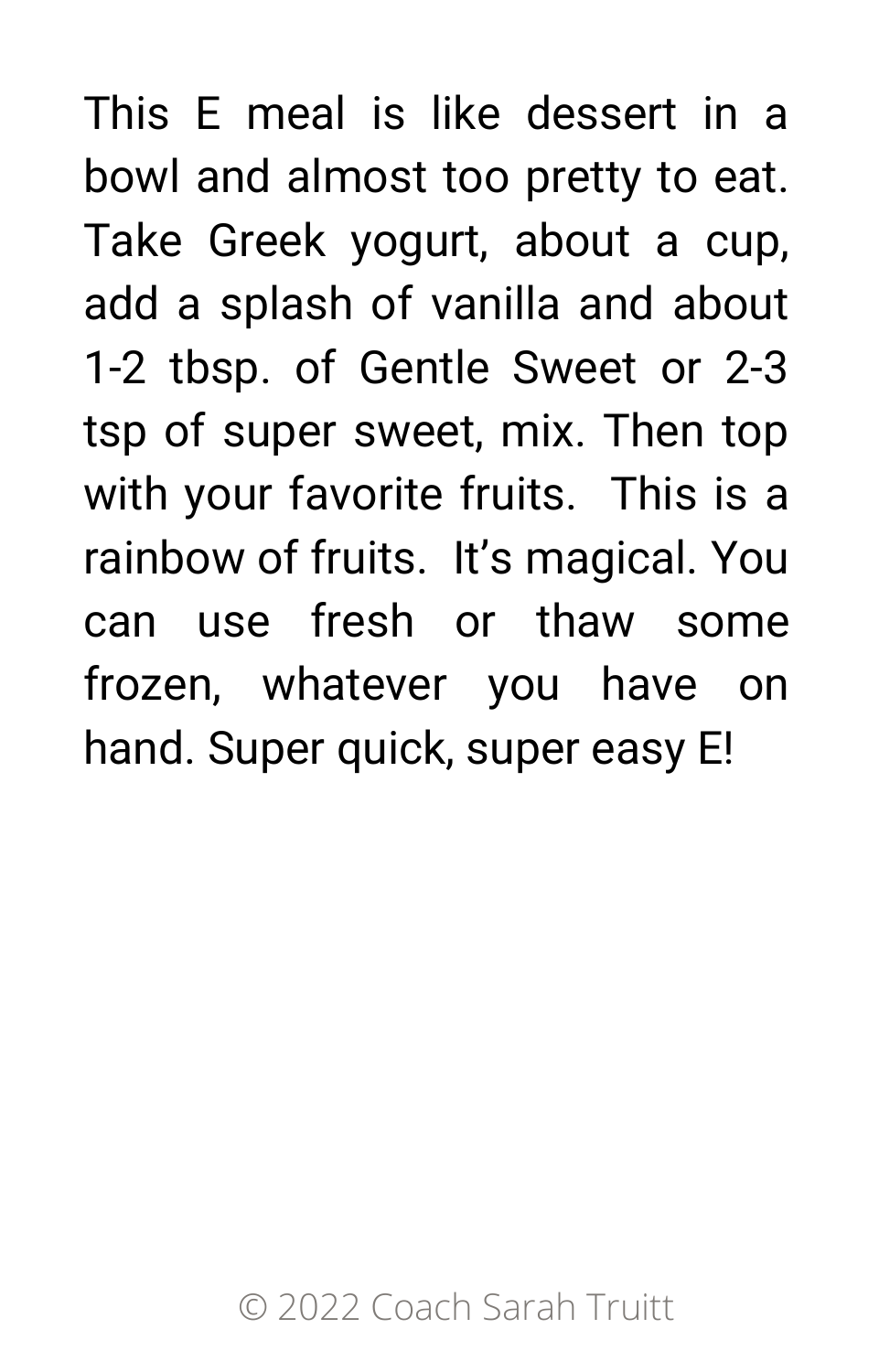This E meal is like dessert in a bowl and almost too pretty to eat. Take Greek yogurt, about a cup, add a splash of vanilla and about 1-2 tbsp. of Gentle Sweet or 2-3 tsp of super sweet, mix. Then top with your favorite fruits. This is a rainbow of fruits. It's magical. You can use fresh or thaw some frozen, whatever you have on hand. Super quick, super easy E!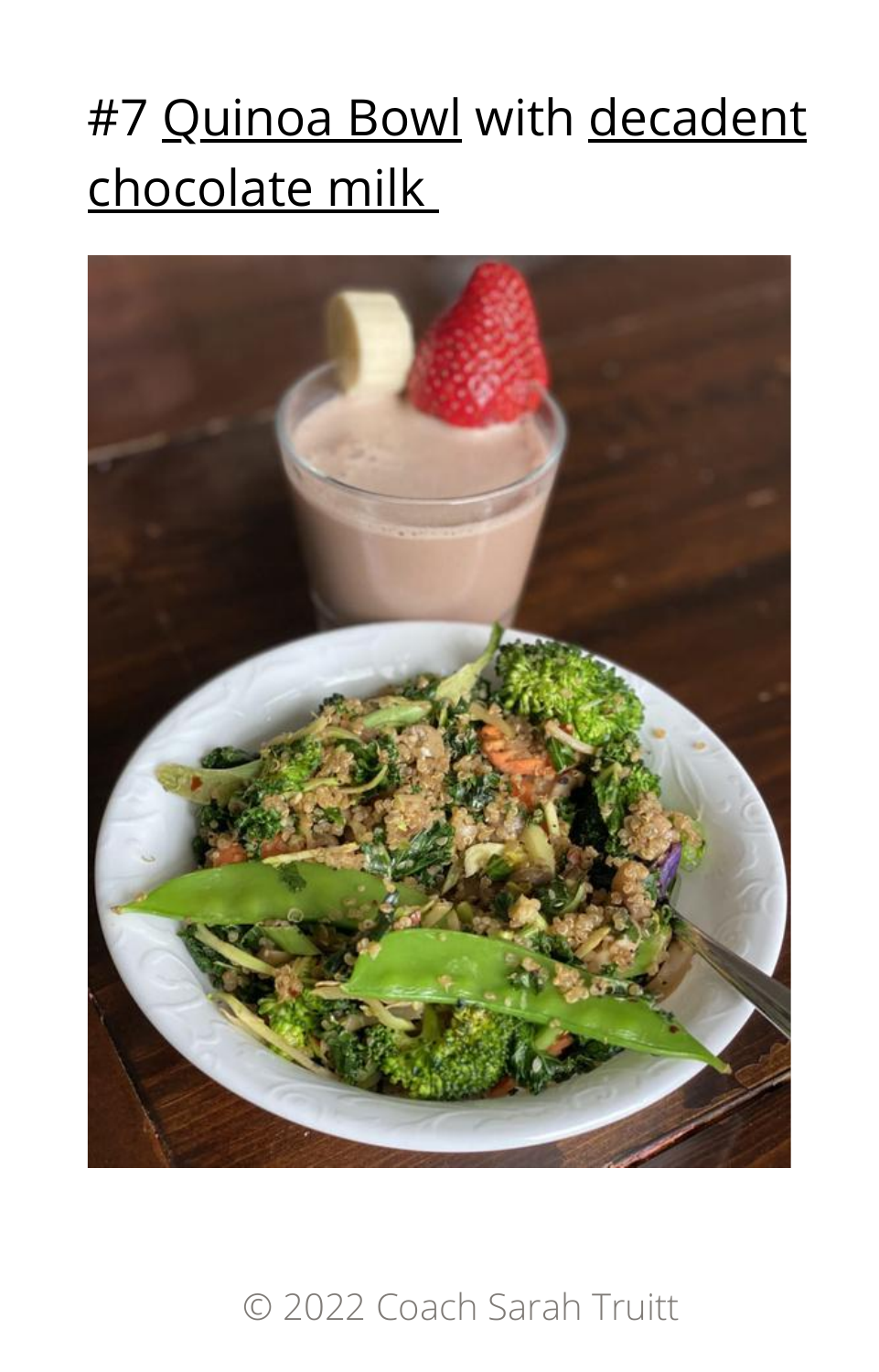# #7 Quinoa Bowl with decadent [chocolate](https://arayahopehealth.com/coach-sarahs-easy-decadent-chocolate-milk/) mil[k](https://arayahopehealth.com/coach-sarahs-easy-decadent-chocolate-milk/)

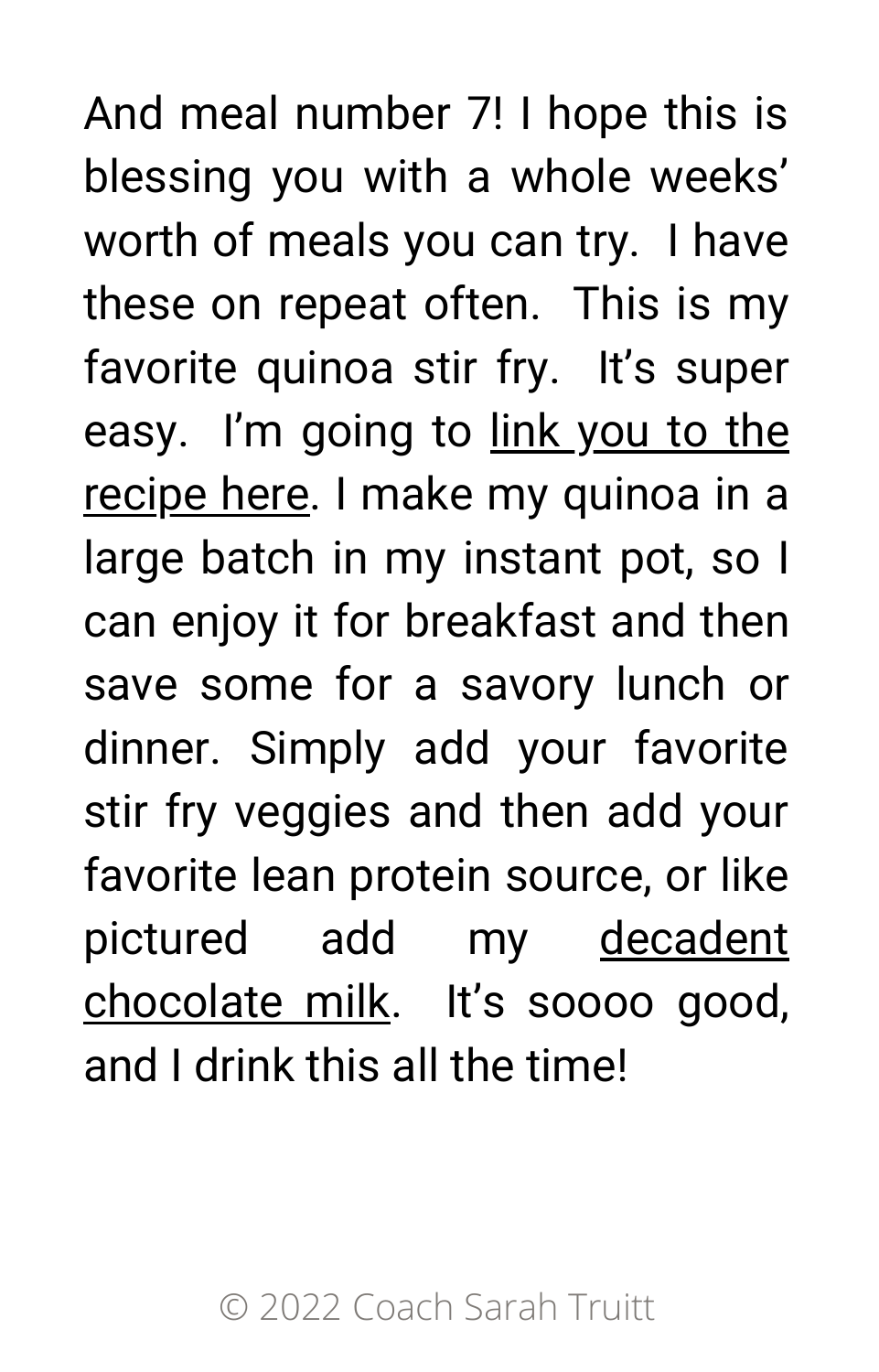And meal number 7! I hope this is blessing you with a whole weeks' worth of meals you can try. I have these on repeat often. This is my favorite quinoa stir fry. It's super easy. I'm going to link you to the recipe here. I make my [quinoa](https://arayahopehealth.com/coach-sarahs-easy-peasy-savory-quinoa-bowl/) in a large batch in my instant pot, so I can enjoy it for breakfast and then save some for a savory lunch or dinner. Simply add your favorite stir fry veggies and then add your favorite lean protein source, or like pictured add my <u>decadent</u> [chocolate](https://arayahopehealth.com/coach-sarahs-easy-decadent-chocolate-milk/) milk. It's soooo good, and I drink this all the time!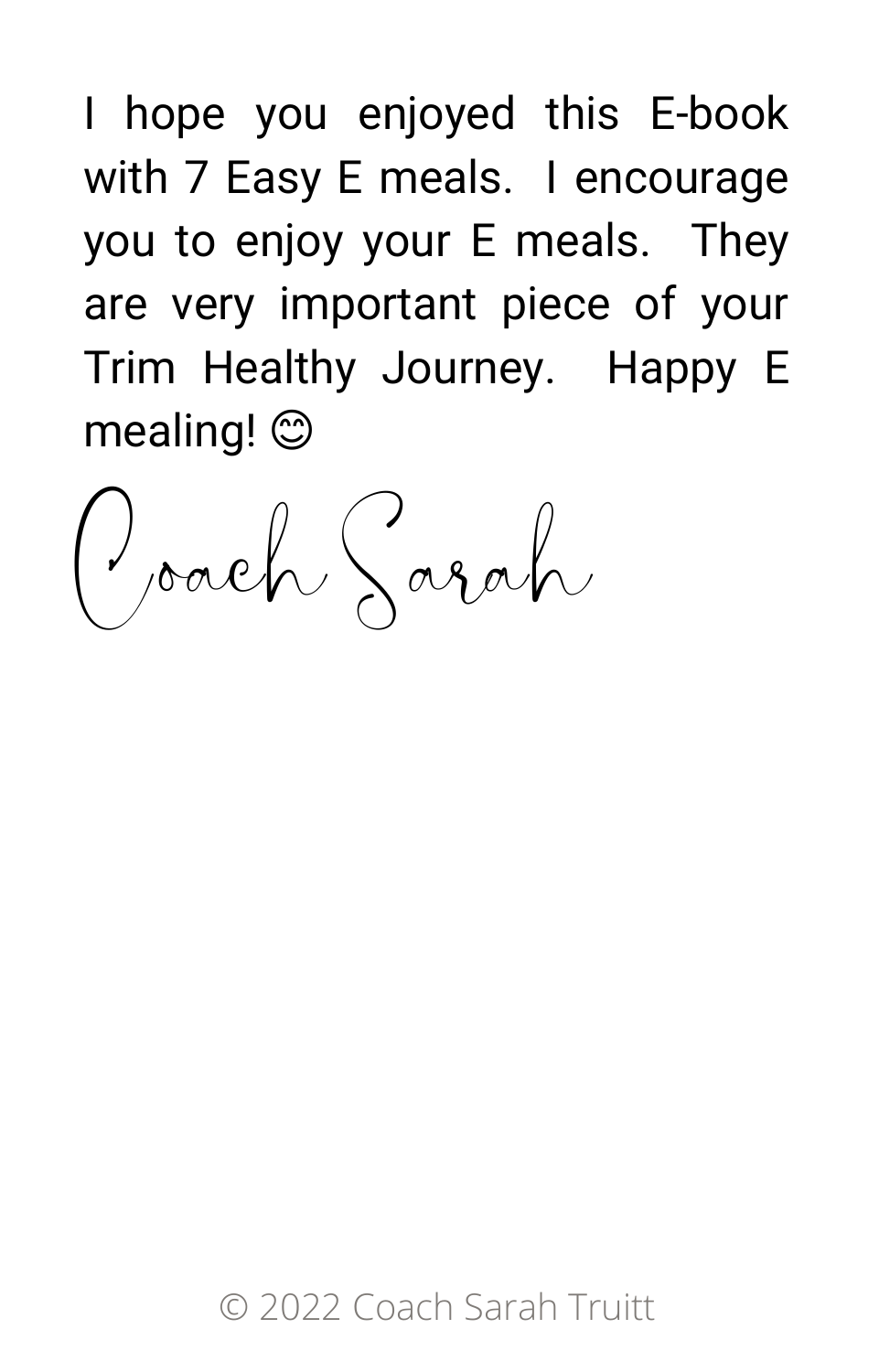I hope you enjoyed this E-book with 7 Easy E meals. I encourage you to enjoy your E meals. They are very important piece of your Trim Healthy Journey. Happy E mealing! ©

Coach Sarah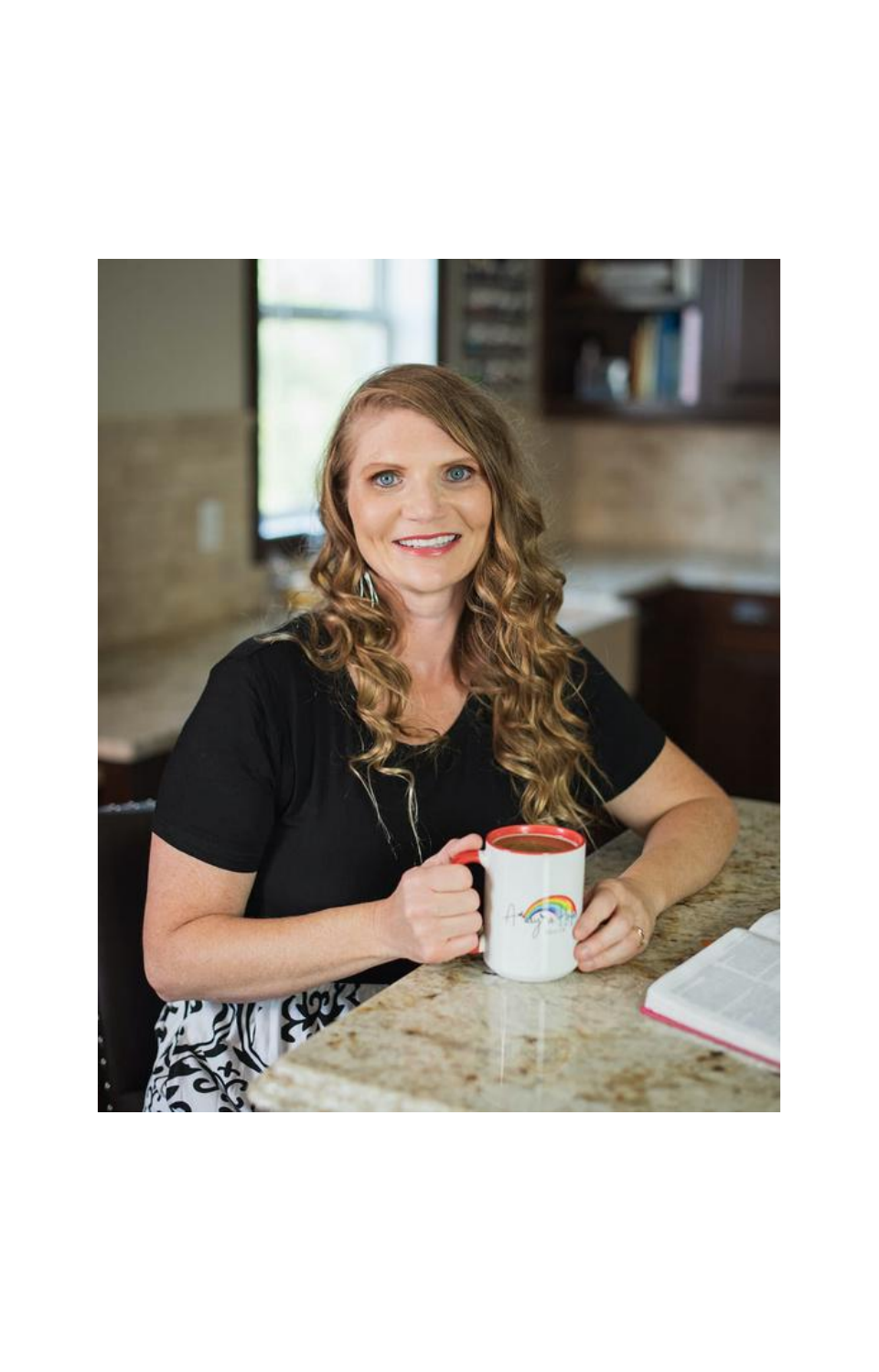